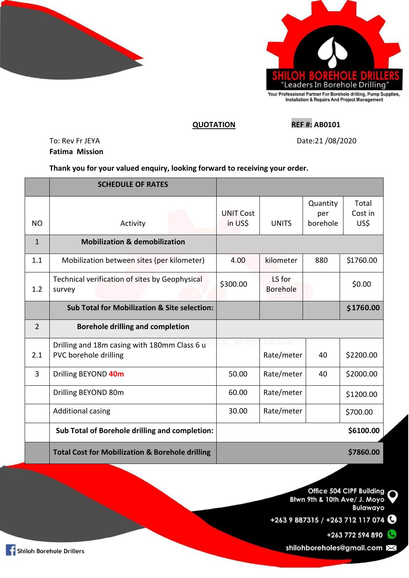



## **QUOTATION REF #: AB0101**

To: Rev Fr JEYA Date:21 /08/2020 **Fatima Mission**

**Thank you for your valued enquiry, looking forward to receiving your order.**

|                | <b>SCHEDULE OF RATES</b>                                              |                             |                        |                             |                          |
|----------------|-----------------------------------------------------------------------|-----------------------------|------------------------|-----------------------------|--------------------------|
| NO             | Activity                                                              | <b>UNIT Cost</b><br>in US\$ | <b>UNITS</b>           | Quantity<br>per<br>borehole | Total<br>Cost in<br>US\$ |
| $\mathbf{1}$   | <b>Mobilization &amp; demobilization</b>                              |                             |                        |                             |                          |
| 1.1            | Mobilization between sites (per kilometer)                            | 4.00                        | kilometer              | 880                         | \$1760.00                |
| 1.2            | Technical verification of sites by Geophysical<br>survey              | \$300.00                    | LS for<br>Borehole     |                             | \$0.00                   |
|                | <b>Sub Total for Mobilization &amp; Site selection:</b>               |                             |                        |                             | \$1760.00                |
| $\overline{2}$ | <b>Borehole drilling and completion</b>                               |                             |                        |                             |                          |
| 2.1            | Drilling and 18m casing with 180mm Class 6 u<br>PVC borehole drilling |                             | 1. L P.O<br>Rate/meter | 40                          | \$2200.00                |
| 3              | Drilling BEYOND 40m                                                   | 50.00                       | Rate/meter             | 40                          | \$2000.00                |
|                | Drilling BEYOND 80m                                                   | 60.00                       | Rate/meter             |                             | \$1200.00                |
|                | <b>Additional casing</b>                                              | 30.00                       | Rate/meter             |                             | \$700.00                 |
|                | Sub Total of Borehole drilling and completion:                        |                             |                        |                             | \$6100.00                |
|                | <b>Total Cost for Mobilization &amp; Borehole drilling</b>            |                             |                        |                             | \$7860.00                |

Office 504 CIPF Building Btwn 9th & 10th Ave/ J. Moyo **Bulawayo** 

+263 9 887315 / +263 712 117 074

+263 772 594 890

shilohboreholes@gmail.com